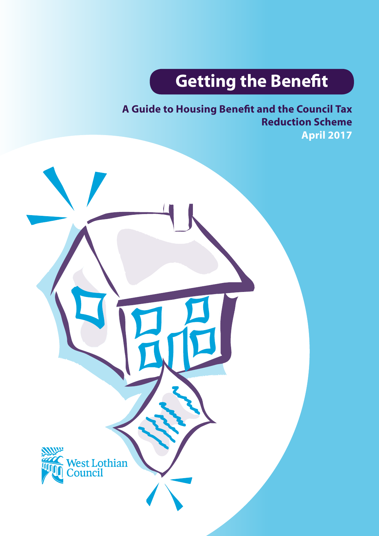# **Getting the Benefit**

**A Guide to Housing Benefit and the Council Tax Reduction Scheme April 2017**

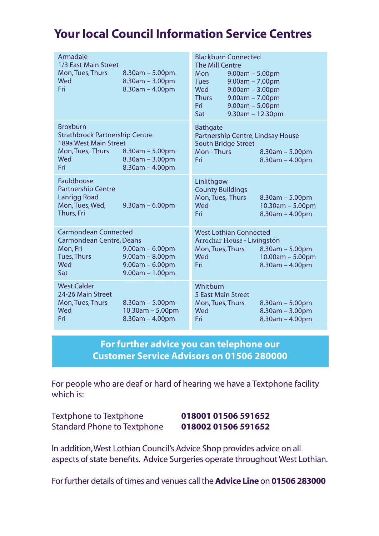# **Your local Council Information Service Centres**

| Armadale<br>1/3 East Main Street<br>Mon, Tues, Thurs<br>Wed<br>Fri                                                                                                                                 | $8.30$ am $- 5.00$ pm<br>$8.30$ am $- 3.00$ pm<br>$8.30am - 4.00pm$   | <b>Blackburn Connected</b><br>The Mill Centre<br>Mon<br>$9.00am - 5.00pm$<br><b>Tues</b><br>$9.00am - 7.00pm$<br><b>Wed</b><br>$9.00am - 3.00pm$<br><b>Thurs</b><br>$9.00am - 7.00pm$<br>Fri<br>$9.00am - 5.00pm$<br>Sat | $9.30$ am - 12.30pm                                                   |
|----------------------------------------------------------------------------------------------------------------------------------------------------------------------------------------------------|-----------------------------------------------------------------------|--------------------------------------------------------------------------------------------------------------------------------------------------------------------------------------------------------------------------|-----------------------------------------------------------------------|
| <b>Broxburn</b><br><b>Strathbrock Partnership Centre</b><br>189a West Main Street<br>Mon, Tues, Thurs<br>Wed<br>Fri                                                                                | $8.30am - 5.00pm$<br>$8.30am - 3.00pm$<br>$8.30am - 4.00pm$           | <b>Bathgate</b><br>Partnership Centre, Lindsay House<br><b>South Bridge Street</b><br>Mon - Thurs<br>Fri                                                                                                                 | $8.30am - 5.00pm$<br>$8.30$ am - $4.00$ pm                            |
| Fauldhouse<br><b>Partnership Centre</b><br><b>Lanrigg Road</b><br>Mon, Tues, Wed,<br>Thurs, Fri                                                                                                    | $9.30$ am $- 6.00$ pm                                                 | Linlithgow<br><b>County Buildings</b><br>Mon, Tues, Thurs<br>Wed<br>Fri                                                                                                                                                  | $8.30$ am – 5.00pm<br>$10.30$ am $- 5.00$ pm<br>$8.30$ am - $4.00$ pm |
| <b>Carmondean Connected</b><br><b>Carmondean Centre, Deans</b><br>Mon, Fri<br>$9.00am - 6.00pm$<br><b>Tues, Thurs</b><br>$9.00am - 8.00pm$<br>Wed<br>$9.00am - 6.00pm$<br>$9.00am - 1.00pm$<br>Sat |                                                                       | <b>West Lothian Connected</b><br>Arrochar House - Livingston<br>Mon, Tues, Thurs<br>$8.30am - 5.00pm$<br>Wed<br>$10.00am - 5.00pm$<br>Fri<br>$8.30am - 4.00pm$                                                           |                                                                       |
| West Calder<br>24-26 Main Street<br>Mon, Tues, Thurs<br>Wed<br>Fri                                                                                                                                 | $8.30$ am $- 5.00$ pm<br>$10.30$ am - 5.00pm<br>$8.30$ am $- 4.00$ pm | Whithurn<br><b>5 East Main Street</b><br>Mon, Tues, Thurs<br>Wed<br>Fri                                                                                                                                                  | $8.30$ am – 5.00pm<br>$8.30am - 3.00pm$<br>$8.30am - 4.00pm$          |

### **For further advice you can telephone our Customer Service Advisors on 01506 280000**

For people who are deaf or hard of hearing we have a Textphone facility which is:

Textphone to Textphone **018001 01506 591652** Standard Phone to Textphone **018002 01506 591652**

In addition, West Lothian Council's Advice Shop provides advice on all aspects of state benefits. Advice Surgeries operate throughout West Lothian.

For further details of times and venues call the **Advice Line** on **01506 283000**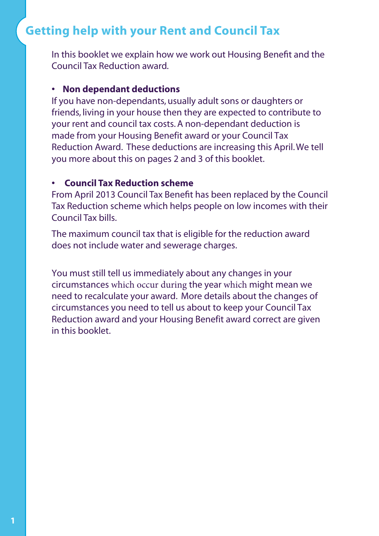# **Getting help with your Rent and Council Tax**

In this booklet we explain how we work out Housing Benefit and the Council Tax Reduction award.

#### **• Non dependant deductions**

If you have non-dependants, usually adult sons or daughters or friends, living in your house then they are expected to contribute to your rent and council tax costs. A non-dependant deduction is made from your Housing Benefit award or your Council Tax Reduction Award. These deductions are increasing this April. We tell you more about this on pages 2 and 3 of this booklet.

#### **• Council Tax Reduction scheme**

From April 2013 Council Tax Benefit has been replaced by the Council Tax Reduction scheme which helps people on low incomes with their Council Tax bills.

The maximum council tax that is eligible for the reduction award does not include water and sewerage charges.

You must still tell us immediately about any changes in your circumstances which occur during the year which might mean we need to recalculate your award. More details about the changes of circumstances you need to tell us about to keep your Council Tax Reduction award and your Housing Benefit award correct are given in this booklet.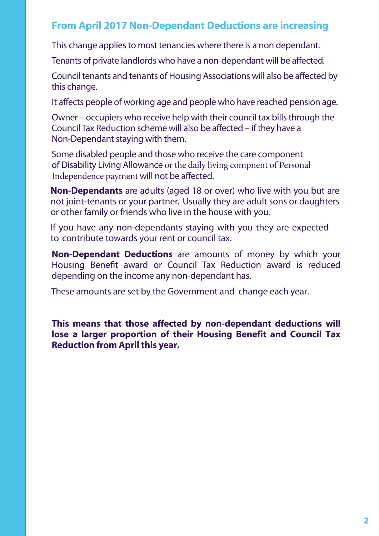### **From April 2017 Non-Dependant Deductions are increasing**

This change applies to most tenancies where there is a non dependant.

Tenants of private landlords who have a non-dependant will be affected.

Council tenants and tenants of Housing Associations will also be affected by this change.

It affects people of working age and people who have reached pension age.

Owner – occupiers who receive help with their council tax bills through the Council Tax Reduction scheme will also be affected – if they have a Non-Dependant staying with them.

Some disabled people and those who receive the care component of Disability Living Allowance or the daily living compnent of Personal Independence payment will not be affected.

**Non-Dependants** are adults (aged 18 or over) who live with you but are not joint-tenants or your partner. Usually they are adult sons or daughters or other family or friends who live in the house with you.

If you have any non-dependants staying with you they are expected to contribute towards your rent or council tax.

**Non-Dependant Deductions** are amounts of money by which your Housing Benefit award or Council Tax Reduction award is reduced depending on the income any non-dependant has.

These amounts are set by the Government and change each year.

**This means that those affected by non-dependant deductions will lose a larger proportion of their Housing Benefit and Council Tax Reduction from April this year.**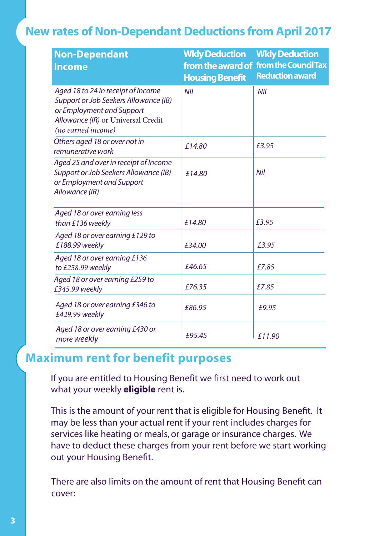# **New rates of Non-Dependant Deductions from April 2017**

| <b>Non-Dependant</b><br><b>Income</b>                                                                                                                                | <b>Wkly Deduction</b><br>from the award of<br><b>Housing Benefit</b> | <b>Wkly Deduction</b><br>from the Council Tax<br><b>Reduction award</b> |
|----------------------------------------------------------------------------------------------------------------------------------------------------------------------|----------------------------------------------------------------------|-------------------------------------------------------------------------|
| Aged 18 to 24 in receipt of Income<br>Support or Job Seekers Allowance (IB)<br>or Employment and Support<br>Allowance (IR) or Universal Credit<br>(no earned income) | Nil                                                                  | Nil                                                                     |
| Others aged 18 or over not in<br>remunerative work                                                                                                                   | £14.80                                                               | £3.95                                                                   |
| Aged 25 and over in receipt of Income<br>Support or Job Seekers Allowance (IB)<br>or Employment and Support<br>Allowance (IR)                                        | £14.80                                                               | Nil                                                                     |
| Aged 18 or over earning less<br>than £136 weekly                                                                                                                     | £14.80                                                               | £3.95                                                                   |
| Aged 18 or over earning £129 to<br>£188.99 weekly                                                                                                                    | £34.00                                                               | £3.95                                                                   |
| Aged 18 or over earning £136<br>to £258.99 weekly                                                                                                                    | £46.65                                                               | £7.85                                                                   |
| Aged 18 or over earning £259 to<br>£345.99 weekly                                                                                                                    | £76.35                                                               | £7.85                                                                   |
| Aged 18 or over earning £346 to<br>£429.99 weekly                                                                                                                    | £86.95                                                               | £9.95                                                                   |
| Aged 18 or over earning £430 or<br>more weekly                                                                                                                       | £95.45                                                               | £11.90                                                                  |

# **Maximum rent for benefit purposes**

If you are entitled to Housing Benefit we first need to work out what your weekly **eligible** rent is.

This is the amount of your rent that is eligible for Housing Benefit. It may be less than your actual rent if your rent includes charges for services like heating or meals, or garage or insurance charges. We have to deduct these charges from your rent before we start working out your Housing Benefit.

There are also limits on the amount of rent that Housing Benefit can cover: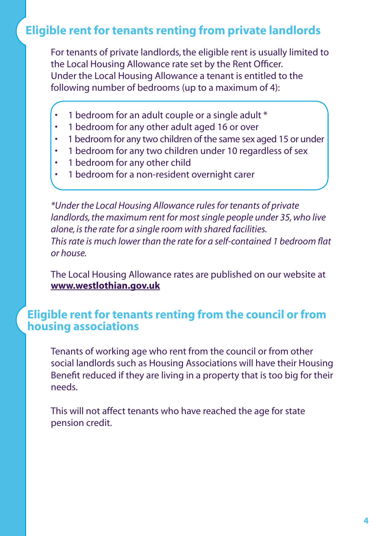# **Eligible rent for tenants renting from private landlords**

For tenants of private landlords, the eligible rent is usually limited to the Local Housing Allowance rate set by the Rent Officer. Under the Local Housing Allowance a tenant is entitled to the following number of bedrooms (up to a maximum of 4):

- 1 bedroom for an adult couple or a single adult \*
- 1 bedroom for any other adult aged 16 or over
- 1 bedroom for any two children of the same sex aged 15 or under
- 1 bedroom for any two children under 10 regardless of sex
- 1 bedroom for any other child
- 1 bedroom for a non-resident overnight carer

*\*Under the Local Housing Allowance rules for tenants of private landlords, the maximum rent for most single people under 35, who live alone, is the rate for a single room with shared facilities. This rate is much lower than the rate for a self-contained 1 bedroom flat or house.* 

The Local Housing Allowance rates are published on our website at **www.westlothian.gov.uk**

### **Eligible rent for tenants renting from the council or from housing associations**

Tenants of working age who rent from the council or from other social landlords such as Housing Associations will have their Housing Benefit reduced if they are living in a property that is too big for their needs.

This will not affect tenants who have reached the age for state pension credit.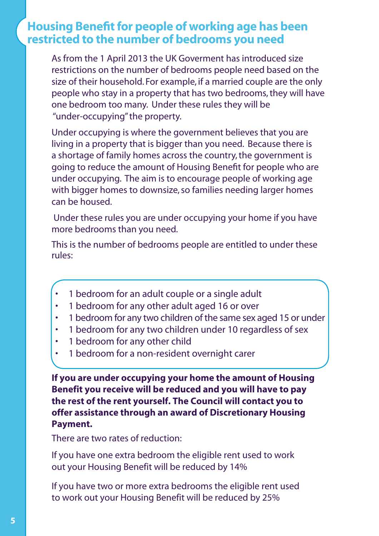### **Housing Benefit for people of working age has been restricted to the number of bedrooms you need**

As from the 1 April 2013 the UK Goverment has introduced size restrictions on the number of bedrooms people need based on the size of their household. For example, if a married couple are the only people who stay in a property that has two bedrooms, they will have one bedroom too many. Under these rules they will be "under-occupying" the property.

Under occupying is where the government believes that you are living in a property that is bigger than you need. Because there is a shortage of family homes across the country, the government is going to reduce the amount of Housing Benefit for people who are under occupying. The aim is to encourage people of working age with bigger homes to downsize, so families needing larger homes can be housed.

 Under these rules you are under occupying your home if you have more bedrooms than you need.

This is the number of bedrooms people are entitled to under these rules:

- 1 bedroom for an adult couple or a single adult
- 1 bedroom for any other adult aged 16 or over
- 1 bedroom for any two children of the same sex aged 15 or under
- 1 bedroom for any two children under 10 regardless of sex
- 1 bedroom for any other child
- 1 bedroom for a non-resident overnight carer

**If you are under occupying your home the amount of Housing Benefit you receive will be reduced and you will have to pay the rest of the rent yourself. The Council will contact you to offer assistance through an award of Discretionary Housing Payment.**

There are two rates of reduction:

If you have one extra bedroom the eligible rent used to work out your Housing Benefit will be reduced by 14%

If you have two or more extra bedrooms the eligible rent used to work out your Housing Benefit will be reduced by 25%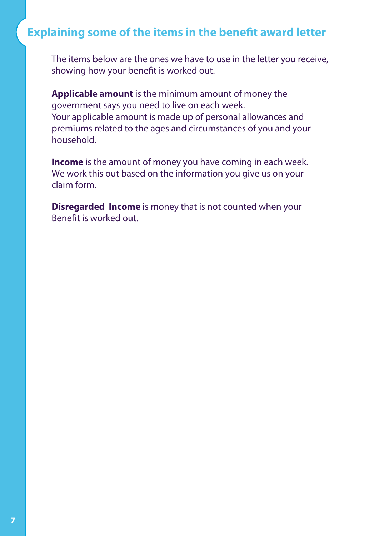# **Explaining some of the items in the benefit award letter**

The items below are the ones we have to use in the letter you receive, showing how your benefit is worked out.

**Applicable amount** is the minimum amount of money the government says you need to live on each week. Your applicable amount is made up of personal allowances and premiums related to the ages and circumstances of you and your household.

**Income** is the amount of money you have coming in each week. We work this out based on the information you give us on your claim form.

**Disregarded Income** is money that is not counted when your Benefit is worked out.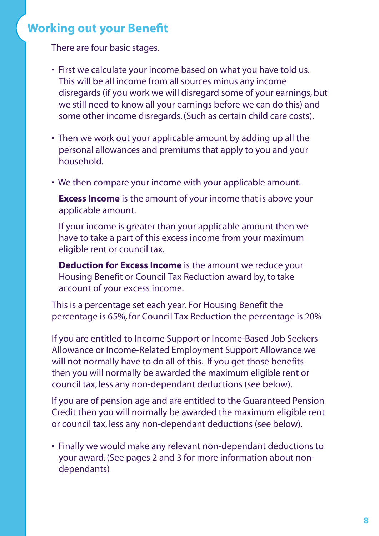# **Working out your Benefit**

There are four basic stages.

- First we calculate your income based on what you have told us. This will be all income from all sources minus any income disregards (if you work we will disregard some of your earnings, but we still need to know all your earnings before we can do this) and some other income disregards. (Such as certain child care costs).
- Then we work out your applicable amount by adding up all the personal allowances and premiums that apply to you and your household.
- We then compare your income with your applicable amount.

**Excess Income** is the amount of your income that is above your applicable amount.

If your income is greater than your applicable amount then we have to take a part of this excess income from your maximum eligible rent or council tax.

**Deduction for Excess Income** is the amount we reduce your Housing Benefit or Council Tax Reduction award by, to take account of your excess income.

This is a percentage set each year. For Housing Benefit the percentage is 65%, for Council Tax Reduction the percentage is 20%

If you are entitled to Income Support or Income-Based Job Seekers Allowance or Income-Related Employment Support Allowance we will not normally have to do all of this. If you get those benefits then you will normally be awarded the maximum eligible rent or council tax, less any non-dependant deductions (see below).

If you are of pension age and are entitled to the Guaranteed Pension Credit then you will normally be awarded the maximum eligible rent or council tax, less any non-dependant deductions (see below).

• Finally we would make any relevant non-dependant deductions to your award. (See pages 2 and 3 for more information about nondependants)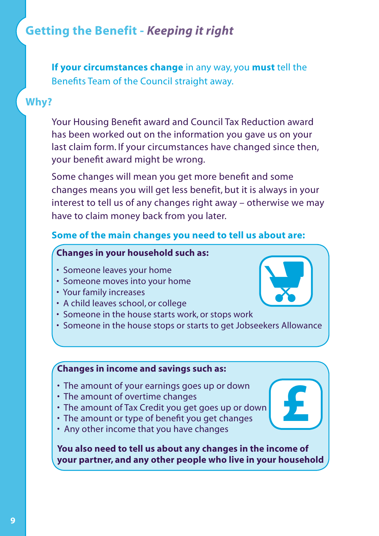# **Getting the Benefit -** *Keeping it right*

**If your circumstances change** in any way, you **must** tell the Benefits Team of the Council straight away.

### **Why?**

Your Housing Benefit award and Council Tax Reduction award has been worked out on the information you gave us on your last claim form. If your circumstances have changed since then, your benefit award might be wrong.

Some changes will mean you get more benefit and some changes means you will get less benefit, but it is always in your interest to tell us of any changes right away – otherwise we may have to claim money back from you later.

#### **Some of the main changes you need to tell us about are:**

### **Changes in your household such as:**

- Someone leaves your home
- Someone moves into your home
- Your family increases
- A child leaves school, or college
- Someone in the house starts work, or stops work
- Someone in the house stops or starts to get Jobseekers Allowance

### **Changes in income and savings such as:**

- The amount of your earnings goes up or down
- The amount of overtime changes
- The amount of Tax Credit you get goes up or down
- The amount or type of benefit you get changes
- Any other income that you have changes

**You also need to tell us about any changes in the income of your partner, and any other people who live in your household**

**£**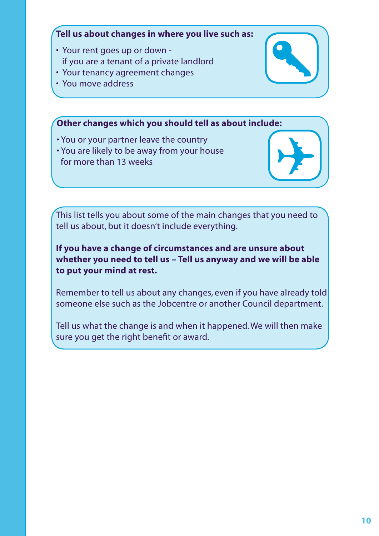### **Tell us about changes in where you live such as:**

- Your rent goes up or down if you are a tenant of a private landlord
- Your tenancy agreement changes
- You move address

### **Other changes which you should tell as about include:**

- You or your partner leave the country
- You are likely to be away from your house for more than 13 weeks

This list tells you about some of the main changes that you need to tell us about, but it doesn't include everything.

### **If you have a change of circumstances and are unsure about whether you need to tell us – Tell us anyway and we will be able to put your mind at rest.**

Remember to tell us about any changes, even if you have already told someone else such as the Jobcentre or another Council department.

Tell us what the change is and when it happened. We will then make sure you get the right benefit or award.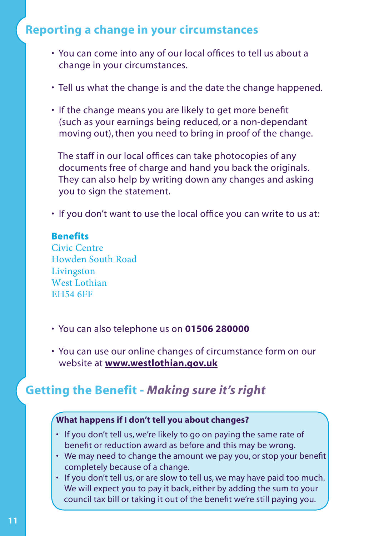# **Reporting a change in your circumstances**

- You can come into any of our local offices to tell us about a • change in your circumstances.
- Tell us what the change is and the date the change happened.
- If the change means you are likely to get more benefit • (such as your earnings being reduced, or a non-dependant • moving out), then you need to bring in proof of the change.

The staff in our local offices can take photocopies of any • documents free of charge and hand you back the originals. They can also help by writing down any changes and asking you to sign the statement.

• If you don't want to use the local office you can write to us at:

#### **Benefits**

Civic Centre Howden South Road Livingston West Lothian EH54 6FF

- You can also telephone us on **01506 280000**
- You can use our online changes of circumstance form on our • website at **www.westlothian.gov.uk**

### **Getting the Benefit -** *Making sure it's right*

#### **What happens if I don't tell you about changes?**

- If you don't tell us, we're likely to go on paying the same rate of benefit or reduction award as before and this may be wrong.
- We may need to change the amount we pay you, or stop your benefit • completely because of a change.
- If you don't tell us, or are slow to tell us, we may have paid too much. We will expect you to pay it back, either by adding the sum to your council tax bill or taking it out of the benefit we're still paying you.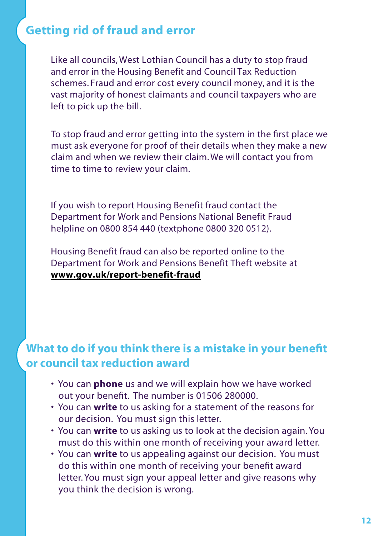# **Getting rid of fraud and error**

Like all councils,West Lothian Council has a duty to stop fraud and error in the Housing Benefit and Council Tax Reduction schemes. Fraud and error cost every council money, and it is the vast majority of honest claimants and council taxpayers who are left to pick up the bill.

To stop fraud and error getting into the system in the first place we must ask everyone for proof of their details when they make a new claim and when we review their claim.We will contact you from time to time to review your claim.

If you wish to report Housing Benefit fraud contact the Department for Work and Pensions National Benefit Fraud helpline on 0800 854 440 (textphone 0800 320 0512).

Housing Benefit fraud can also be reported online to the Department for Work and Pensions Benefit Theft website at **www.gov.uk/report-benefit-fraud**

# **What to do if you think there is a mistake in your benefit or council tax reduction award**

- You can **phone** us and we will explain how we have worked • out your benefit. The number is 01506 280000.
- You can **write** to us asking for a statement of the reasons for our decision. You must sign this letter.
- You can **write** to us asking us to look at the decision again. You must do this within one month of receiving your award letter.
- You can **write** to us appealing against our decision. You must • do this within one month of receiving your benefit award letter. You must sign your appeal letter and give reasons why you think the decision is wrong.